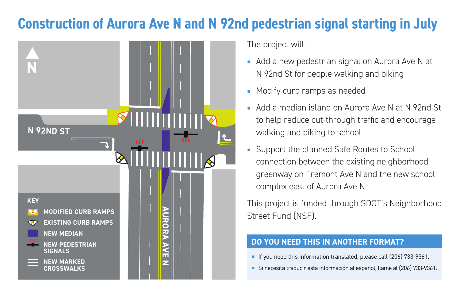# **Construction of Aurora Ave N and N 92nd pedestrian signal starting in July**



The project will:

- Add a new pedestrian signal on Aurora Ave N at N 92nd St for people walking and biking
- Modify curb ramps as needed
- Add a median island on Aurora Ave N at N 92nd St to help reduce cut-through traffic and encourage walking and biking to school
- Support the planned Safe Routes to School connection between the existing neighborhood greenway on Fremont Ave N and the new school complex east of Aurora Ave N

This project is funded through SDOT's Neighborhood Street Fund (NSF).

### **DO YOU NEED THIS IN ANOTHER FORMAT?**

- If you need this information translated, please call (206) 733-9361.
- Si necesita traducir esta información al español, llame al (206) 733-9361.